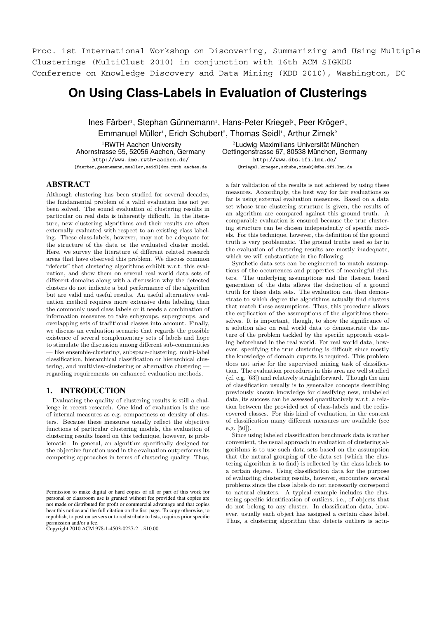Proc. 1st International Workshop on Discovering, Summarizing and Using Multiple Clusterings (MultiClust 2010) in conjunction with 16th ACM SIGKDD Conference on Knowledge Discovery and Data Mining (KDD 2010), Washington, DC

# **On Using Class-Labels in Evaluation of Clusterings**

Ines Färber<sup>1</sup>, Stephan Günnemann<sup>1</sup>, Hans-Peter Kriegel<sup>2</sup>, Peer Kröger<sup>2</sup>, Emmanuel Müller<sup>1</sup>, Erich Schubert<sup>2</sup>, Thomas Seidl<sup>1</sup>, Arthur Zimek<sup>2</sup>

<sup>1</sup>RWTH Aachen University Ahornstrasse 55, 52056 Aachen, Germany http://www.dme.rwth-aachen.de/ {faerber,guennemann,mueller,seidl}@cs.rwth-aachen.de

<sup>2</sup>Ludwig-Maximilians-Universität München Oettingenstrasse 67, 80538 München, Germany http://www.dbs.ifi.lmu.de/ {kriegel,kroeger,schube,zimek}@dbs.ifi.lmu.de

# ABSTRACT

Although clustering has been studied for several decades, the fundamental problem of a valid evaluation has not yet been solved. The sound evaluation of clustering results in particular on real data is inherently difficult. In the literature, new clustering algorithms and their results are often externally evaluated with respect to an existing class labeling. These class-labels, however, may not be adequate for the structure of the data or the evaluated cluster model. Here, we survey the literature of different related research areas that have observed this problem. We discuss common "defects" that clustering algorithms exhibit w.r.t. this evaluation, and show them on several real world data sets of different domains along with a discussion why the detected clusters do not indicate a bad performance of the algorithm but are valid and useful results. An useful alternative evaluation method requires more extensive data labeling than the commonly used class labels or it needs a combination of information measures to take subgroups, supergroups, and overlapping sets of traditional classes into account. Finally, we discuss an evaluation scenario that regards the possible existence of several complementary sets of labels and hope to stimulate the discussion among different sub-communities like ensemble-clustering, subspace-clustering, multi-label classification, hierarchical classification or hierarchical clustering, and multiview-clustering or alternative clustering regarding requirements on enhanced evaluation methods.

# 1. INTRODUCTION

Evaluating the quality of clustering results is still a challenge in recent research. One kind of evaluation is the use of internal measures as e.g. compactness or density of clusters. Because these measures usually reflect the objective functions of particular clustering models, the evaluation of clustering results based on this technique, however, is problematic. In general, an algorithm specifically designed for the objective function used in the evaluation outperforms its competing approaches in terms of clustering quality. Thus,

Copyright 2010 ACM 978-1-4503-0227-2 ...\$10.00.

a fair validation of the results is not achieved by using these measures. Accordingly, the best way for fair evaluations so far is using external evaluation measures. Based on a data set whose true clustering structure is given, the results of an algorithm are compared against this ground truth. A comparable evaluation is ensured because the true clustering structure can be chosen independently of specific models. For this technique, however, the definition of the ground truth is very problematic. The ground truths used so far in the evaluation of clustering results are mostly inadequate, which we will substantiate in the following.

Synthetic data sets can be engineered to match assumptions of the occurrences and properties of meaningful clusters. The underlying assumptions and the thereon based generation of the data allows the deduction of a ground truth for these data sets. The evaluation can then demonstrate to which degree the algorithms actually find clusters that match these assumptions. Thus, this procedure allows the explication of the assumptions of the algorithms themselves. It is important, though, to show the significance of a solution also on real world data to demonstrate the nature of the problem tackled by the specific approach existing beforehand in the real world. For real world data, however, specifying the true clustering is difficult since mostly the knowledge of domain experts is required. This problem does not arise for the supervised mining task of classification. The evaluation procedures in this area are well studied (cf. e.g. [63]) and relatively straightforward. Though the aim of classification usually is to generalize concepts describing previously known knowledge for classifying new, unlabeled data, its success can be assessed quantitatively w.r.t. a relation between the provided set of class-labels and the rediscovered classes. For this kind of evaluation, in the context of classification many different measures are available (see e.g. [50]).

Since using labeled classification benchmark data is rather convenient, the usual approach in evaluation of clustering algorithms is to use such data sets based on the assumption that the natural grouping of the data set (which the clustering algorithm is to find) is reflected by the class labels to a certain degree. Using classification data for the purpose of evaluating clustering results, however, encounters several problems since the class labels do not necessarily correspond to natural clusters. A typical example includes the clustering specific identification of outliers, i.e., of objects that do not belong to any cluster. In classification data, however, usually each object has assigned a certain class label. Thus, a clustering algorithm that detects outliers is actu-

Permission to make digital or hard copies of all or part of this work for personal or classroom use is granted without fee provided that copies are not made or distributed for profit or commercial advantage and that copies bear this notice and the full citation on the first page. To copy otherwise, to republish, to post on servers or to redistribute to lists, requires prior specific permission and/or a fee.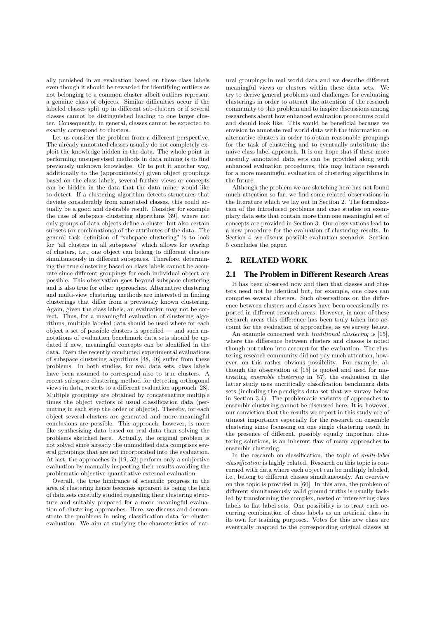ally punished in an evaluation based on these class labels even though it should be rewarded for identifying outliers as not belonging to a common cluster albeit outliers represent a genuine class of objects. Similar difficulties occur if the labeled classes split up in different sub-clusters or if several classes cannot be distinguished leading to one larger cluster. Consequently, in general, classes cannot be expected to exactly correspond to clusters.

Let us consider the problem from a different perspective. The already annotated classes usually do not completely exploit the knowledge hidden in the data. The whole point in performing unsupervised methods in data mining is to find previously unknown knowledge. Or to put it another way, additionally to the (approximately) given object groupings based on the class labels, several further views or concepts can be hidden in the data that the data miner would like to detect. If a clustering algorithm detects structures that deviate considerably from annotated classes, this could actually be a good and desirable result. Consider for example the case of subspace clustering algorithms [39], where not only groups of data objects define a cluster but also certain subsets (or combinations) of the attributes of the data. The general task definition of "subspace clustering" is to look for "all clusters in all subspaces" which allows for overlap of clusters, i.e., one object can belong to different clusters simultaneously in different subspaces. Therefore, determining the true clustering based on class labels cannot be accurate since different groupings for each individual object are possible. This observation goes beyond subspace clustering and is also true for other approaches. Alternative clustering and multi-view clustering methods are interested in finding clusterings that differ from a previously known clustering. Again, given the class labels, an evaluation may not be correct. Thus, for a meaningful evaluation of clustering algorithms, multiple labeled data should be used where for each object a set of possible clusters is specified — and such annotations of evaluation benchmark data sets should be updated if new, meaningful concepts can be identified in the data. Even the recently conducted experimental evaluations of subspace clustering algorithms [48, 46] suffer from these problems. In both studies, for real data sets, class labels have been assumed to correspond also to true clusters. A recent subspace clustering method for detecting orthogonal views in data, resorts to a different evaluation approach [28]. Multiple groupings are obtained by concatenating multiple times the object vectors of usual classification data (permuting in each step the order of objects). Thereby, for each object several clusters are generated and more meaningful conclusions are possible. This approach, however, is more like synthesizing data based on real data than solving the problems sketched here. Actually, the original problem is not solved since already the unmodified data comprises several groupings that are not incorporated into the evaluation. At last, the approaches in [19, 52] perform only a subjective evaluation by manually inspecting their results avoiding the problematic objective quantitative external evaluation.

Overall, the true hindrance of scientific progress in the area of clustering hence becomes apparent as being the lack of data sets carefully studied regarding their clustering structure and suitably prepared for a more meaningful evaluation of clustering approaches. Here, we discuss and demonstrate the problems in using classification data for cluster evaluation. We aim at studying the characteristics of natural groupings in real world data and we describe different meaningful views or clusters within these data sets. We try to derive general problems and challenges for evaluating clusterings in order to attract the attention of the research community to this problem and to inspire discussions among researchers about how enhanced evaluation procedures could and should look like. This would be beneficial because we envision to annotate real world data with the information on alternative clusters in order to obtain reasonable groupings for the task of clustering and to eventually substitute the naive class label approach. It is our hope that if these more carefully annotated data sets can be provided along with enhanced evaluation procedures, this may initiate research for a more meaningful evaluation of clustering algorithms in the future.

Although the problem we are sketching here has not found much attention so far, we find some related observations in the literature which we lay out in Section 2. The formalization of the introduced problems and case studies on exemplary data sets that contain more than one meaningful set of concepts are provided in Section 3. Our observations lead to a new procedure for the evaluation of clustering results. In Section 4, we discuss possible evaluation scenarios. Section 5 concludes the paper.

# 2. RELATED WORK

### 2.1 The Problem in Different Research Areas

It has been observed now and then that classes and clusters need not be identical but, for example, one class can comprise several clusters. Such observations on the difference between clusters and classes have been occasionally reported in different research areas. However, in none of these research areas this difference has been truly taken into account for the evaluation of approaches, as we survey below.

An example concerned with *traditional clustering* is [15], where the difference between clusters and classes is noted though not taken into account for the evaluation. The clustering research community did not pay much attention, however, on this rather obvious possibility. For example, although the observation of [15] is quoted and used for motivating *ensemble clustering* in [57], the evaluation in the latter study uses uncritically classification benchmark data sets (including the pendigits data set that we survey below in Section 3.4). The problematic variants of approaches to ensemble clustering cannot be discussed here. It is, however, our conviction that the results we report in this study are of utmost importance especially for the research on ensemble clustering since focussing on one single clustering result in the presence of different, possibly equally important clustering solutions, is an inherent flaw of many approaches to ensemble clustering.

In the research on classification, the topic of *multi-label classification* is highly related. Research on this topic is concerned with data where each object can be multiply labeled, i.e., belong to different classes simultaneously. An overview on this topic is provided in [60]. In this area, the problem of different simultaneously valid ground truths is usually tackled by transforming the complex, nested or intersecting class labels to flat label sets. One possibility is to treat each occurring combination of class labels as an artificial class in its own for training purposes. Votes for this new class are eventually mapped to the corresponding original classes at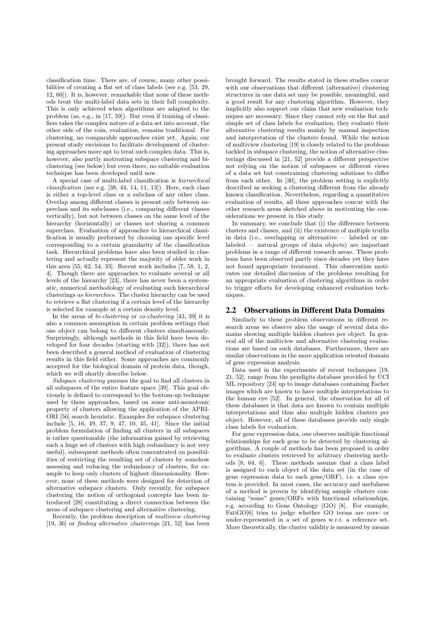classification time. There are, of course, many other possibilities of creating a flat set of class labels (see e.g. [53, 29, 12, 60]). It is, however, remarkable that none of these methods treat the multi-label data sets in their full complexity. This is only achieved when algorithms are adapted to the problem (as, e.g., in [17, 59]). But even if training of classifiers takes the complex nature of a data set into account, the other side of the coin, evaluation, remains traditional. For clustering, no comparable approaches exist yet. Again, our present study envisions to facilitate development of clustering approaches more apt to treat such complex data. This is, however, also partly motivating subspace clustering and biclustering (see below) but even there, no suitable evaluation technique has been developed until now.

A special case of multi-label classification is *hierarchical classification* (see e.g. [38, 44, 14, 11, 13]). Here, each class is either a top-level class or a subclass of any other class. Overlap among different classes is present only between superclass and its subclasses (i.e., comparing different classes vertically), but not between classes on the same level of the hierarchy (horizontally) or classes not sharing a common superclass. Evaluation of approaches to hierarchical classification is usually performed by choosing one specific level corresponding to a certain granularity of the classification task. Hierarchical problems have also been studied in clustering and actually represent the majority of older work in this area [55, 62, 54, 33]. Recent work includes [7, 58, 1, 2, 4]. Though there are approaches to evaluate several or all levels of the hierarchy [23], there has never been a systematic, numerical methodology of evaluating such hierarchical clusterings *as hierarchies*. The cluster hierarchy can be used to retrieve a flat clustering if a certain level of the hierarchy is selected for example at a certain density level.

In the areas of *bi-clustering* or *co-clustering* [43, 39] it is also a common assumption in certain problem settings that one object can belong to different clusters simultaneously. Surprisingly, although methods in this field have been developed for four decades (starting with [32]), there has not been described a general method of evaluation of clustering results in this field either. Some approaches are commonly accepted for the biological domain of protein data, though, which we will shortly describe below.

*Subspace clustering* pursues the goal to find all clusters in all subspaces of the entire feature space [39]. This goal obviously is defined to correspond to the bottom-up technique used by these approaches, based on some anti-monotonic property of clusters allowing the application of the APRI-ORI [56] search heuristic. Examples for subspace clustering include [5, 16, 49, 37, 9, 47, 10, 45, 41]. Since the initial problem formulation of finding all clusters in all subspaces is rather questionable (the information gained by retrieving such a huge set of clusters with high redundancy is not very useful), subsequent methods often concentrated on possibilities of restricting the resulting set of clusters by somehow assessing and reducing the redundancy of clusters, for example to keep only clusters of highest dimensionality. However, none of these methods were designed for detection of alternative subspace clusters. Only recently, for subspace clustering the notion of orthogonal concepts has been introduced [28] constituting a direct connection between the areas of subspace clustering and alternative clustering.

Recently, the problem description of *multiview clustering* [19, 36] or *finding alternative clusterings* [21, 52] has been brought forward. The results stated in these studies concur with our observations that different (alternative) clustering structures in one data set may be possible, meaningful, and a good result for any clustering algorithm. However, they implicitly also support our claim that new evaluation techniques are necessary. Since they cannot rely on the flat and simple set of class labels for evaluation, they evaluate their alternative clustering results mainly by manual inspection and interpretation of the clusters found. While the notion of multiview clustering [19] is closely related to the problems tackled in subspace clustering, the notion of alternative clusterings discussed in [21, 52] provide a different perspective not relying on the notion of subspaces or different views of a data set but constraining clustering solutions to differ from each other. In [30], the problem setting is explicitly described as seeking a clustering different from the already known classification. Nevertheless, regarding a quantitative evaluation of results, all these approaches concur with the other research areas sketched above in motivating the considerations we present in this study.

In summary, we conclude that (i) the difference between clusters and classes, and (ii) the existence of multiple truths in data (i.e., overlapping or alternative — labeled or unlabeled — natural groups of data objects) are important problems in a range of different research areas. These problems have been observed partly since decades yet they have not found appropriate treatment. This observation motivates our detailed discussion of the problems resulting for an appropriate evaluation of clustering algorithms in order to trigger efforts for developing enhanced evaluation techniques.

### 2.2 Observations in Different Data Domains

Similarly to these problem observations in different research areas we observe also the usage of several data domains showing multiple hidden clusters per object. In general all of the multiview and alternative clustering evaluations are based on such databases. Furthermore, there are similar observations in the more application oriented domain of gene expression analysis.

Data used in the experiments of recent techniques [19, 21, 52], range from the pendigits database provided by UCI ML repository [24] up to image databases containing Escher images which are known to have multiple interpretations to the human eye [52]. In general, the observation for all of these databases is that data are known to contain multiple interpretations and thus also multiple hidden clusters per object. However, all of these databases provide only single class labels for evaluation.

For gene expression data, one observes multiple functional relationships for each gene to be detected by clustering algorithms. A couple of methods has been proposed in order to evaluate clusters retrieved by arbitrary clustering methods [8, 64, 6]. These methods assume that a class label is assigned to each object of the data set (in the case of gene expression data to each gene/ORF), i.e. a class system is provided. In most cases, the accuracy and usefulness of a method is proven by identifying sample clusters containing "some" genes/ORFs with functional relationships, e.g. according to Gene Ontology (GO) [8]. For example, FatiGO[6] tries to judge whether GO terms are over- or under-represented in a set of genes w.r.t. a reference set. More theoretically, the cluster validity is measured by means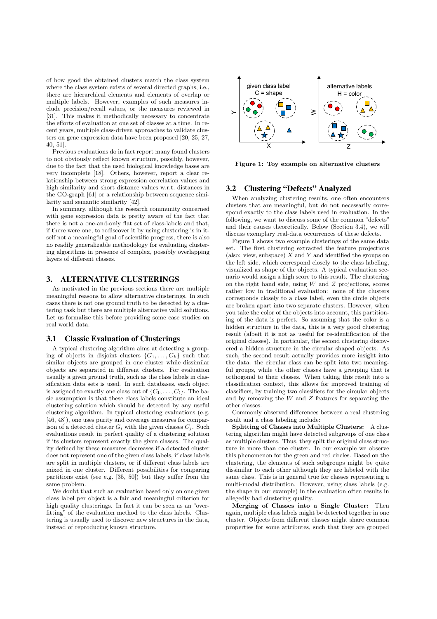of how good the obtained clusters match the class system where the class system exists of several directed graphs, i.e., there are hierarchical elements and elements of overlap or multiple labels. However, examples of such measures include precision/recall values, or the measures reviewed in [31]. This makes it methodically necessary to concentrate the efforts of evaluation at one set of classes at a time. In recent years, multiple class-driven approaches to validate clusters on gene expression data have been proposed [20, 25, 27, 40, 51].

Previous evaluations do in fact report many found clusters to not obviously reflect known structure, possibly, however, due to the fact that the used biological knowledge bases are very incomplete [18]. Others, however, report a clear relationship between strong expression correlation values and high similarity and short distance values w.r.t. distances in the GO-graph [61] or a relationship between sequence similarity and semantic similarity [42].

In summary, although the research community concerned with gene expression data is pretty aware of the fact that there is not a one-and-only flat set of class-labels and that, if there were one, to rediscover it by using clustering is in itself not a meaningful goal of scientific progress, there is also no readily generalizable methodology for evaluating clustering algorithms in presence of complex, possibly overlapping layers of different classes.

## 3. ALTERNATIVE CLUSTERINGS

As motivated in the previous sections there are multiple meaningful reasons to allow alternative clusterings. In such cases there is not one ground truth to be detected by a clustering task but there are multiple alternative valid solutions. Let us formalize this before providing some case studies on real world data.

#### 3.1 Classic Evaluation of Clusterings

A typical clustering algorithm aims at detecting a grouping of objects in disjoint clusters  $\{G_1, \ldots, G_k\}$  such that similar objects are grouped in one cluster while dissimilar objects are separated in different clusters. For evaluation usually a given ground truth, such as the class labels in classification data sets is used. In such databases, each object is assigned to exactly one class out of  $\{C_1,\ldots,C_l\}$ . The basic assumption is that these class labels constitute an ideal clustering solution which should be detected by any useful clustering algorithm. In typical clustering evaluations (e.g. [46, 48]), one uses purity and coverage measures for comparison of a detected cluster  $G_i$  with the given classes  $C_i$ . Such evaluations result in perfect quality of a clustering solution if its clusters represent exactly the given classes. The quality defined by these measures decreases if a detected cluster does not represent one of the given class labels, if class labels are split in multiple clusters, or if different class labels are mixed in one cluster. Different possibilities for comparing partitions exist (see e.g. [35, 50]) but they suffer from the same problem.

We doubt that such an evaluation based only on one given class label per object is a fair and meaningful criterion for high quality clusterings. In fact it can be seen as an "overfitting" of the evaluation method to the class labels. Clustering is usually used to discover new structures in the data, instead of reproducing known structure.



**Figure 1: Toy example on alternative clusters**

# 3.2 Clustering "Defects" Analyzed

When analyzing clustering results, one often encounters clusters that are meaningful, but do not necessarily correspond exactly to the class labels used in evaluation. In the following, we want to discuss some of the common "defects" and their causes theoretically. Below (Section 3.4), we will discuss exemplary real-data occurrences of these defects.

Figure 1 shows two example clusterings of the same data set. The first clustering extracted the feature projections (also: view, subspace)  $X$  and  $Y$  and identified the groups on the left side, which correspond closely to the class labeling, visualized as shape of the objects. A typical evaluation scenario would assign a high score to this result. The clustering on the right hand side, using  $W$  and  $Z$  projections, scores rather low in traditional evaluation: none of the clusters corresponds closely to a class label, even the circle objects are broken apart into two separate clusters. However, when you take the color of the objects into account, this partitioning of the data is perfect. So assuming that the color is a hidden structure in the data, this is a very good clustering result (albeit it is not as useful for re-identification of the original classes). In particular, the second clustering discovered a hidden structure in the circular shaped objects. As such, the second result actually provides more insight into the data: the circular class can be split into two meaningful groups, while the other classes have a grouping that is orthogonal to their classes. When taking this result into a classification context, this allows for improved training of classifiers, by training two classifiers for the circular objects and by removing the  $W$  and  $Z$  features for separating the other classes.

Commonly observed differences between a real clustering result and a class labeling include:

**Splitting of Classes into Multiple Clusters:** A clustering algorithm might have detected subgroups of one class as multiple clusters. Thus, they split the original class structure in more than one cluster. In our example we observe this phenomenon for the green and red circles. Based on the clustering, the elements of such subgroups might be quite dissimilar to each other although they are labeled with the same class. This is in general true for classes representing a multi-modal distribution. However, using class labels (e.g. the shape in our example) in the evaluation often results in allegedly bad clustering quality.

**Merging of Classes into a Single Cluster:** Then again, multiple class labels might be detected together in one cluster. Objects from different classes might share common properties for some attributes, such that they are grouped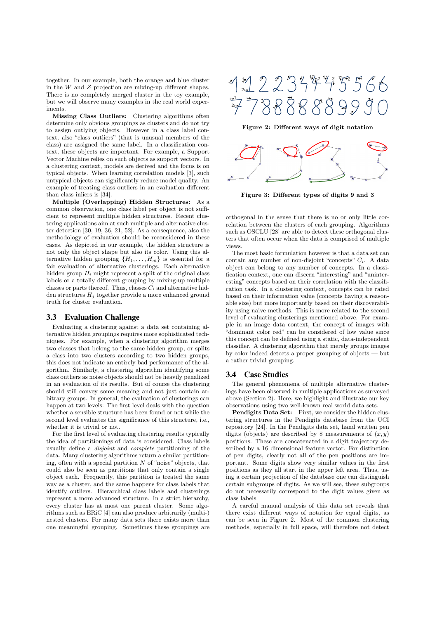together. In our example, both the orange and blue cluster in the  $W$  and  $Z$  projection are mixing-up different shapes. There is no completely merged cluster in the toy example, but we will observe many examples in the real world experiments.

**Missing Class Outliers:** Clustering algorithms often determine only obvious groupings as clusters and do not try to assign outlying objects. However in a class label context, also "class outliers" (that is unusual members of the class) are assigned the same label. In a classification context, these objects are important. For example, a Support Vector Machine relies on such objects as support vectors. In a clustering context, models are derived and the focus is on typical objects. When learning correlation models [3], such untypical objects can significantly reduce model quality. An example of treating class outliers in an evaluation different than class inliers is [34].

**Multiple (Overlapping) Hidden Structures:** As a common observation, one class label per object is not sufficient to represent multiple hidden structures. Recent clustering applications aim at such multiple and alternative cluster detection [30, 19, 36, 21, 52]. As a consequence, also the methodology of evaluation should be reconsidered in these cases. As depicted in our example, the hidden structure is not only the object shape but also its color. Using this alternative hidden grouping  $\{H_1,\ldots,H_m\}$  is essential for a fair evaluation of alternative clusterings. Each alternative hidden group  $H_i$  might represent a split of the original class labels or a totally different grouping by mixing-up multiple classes or parts thereof. Thus, classes  $C_i$  and alternative hidden structures H*<sup>j</sup>* together provide a more enhanced ground truth for cluster evaluation.

## 3.3 Evaluation Challenge

Evaluating a clustering against a data set containing alternative hidden groupings requires more sophisticated techniques. For example, when a clustering algorithm merges two classes that belong to the same hidden group, or splits a class into two clusters according to two hidden groups, this does not indicate an entirely bad performance of the algorithm. Similarly, a clustering algorithm identifying some class outliers as noise objects should not be heavily penalized in an evaluation of its results. But of course the clustering should still convey some meaning and not just contain arbitrary groups. In general, the evaluation of clusterings can happen at two levels: The first level deals with the question whether a sensible structure has been found or not while the second level evaluates the significance of this structure, i.e., whether it is trivial or not.

For the first level of evaluating clustering results typically the idea of partitionings of data is considered. Class labels usually define a *disjoint* and *complete* partitioning of the data. Many clustering algorithms return a similar partitioning, often with a special partition  $N$  of "noise" objects, that could also be seen as partitions that only contain a single object each. Frequently, this partition is treated the same way as a cluster, and the same happens for class labels that identify outliers. Hierarchical class labels and clusterings represent a more advanced structure. In a strict hierarchy, every cluster has at most one parent cluster. Some algorithms such as ERiC [4] can also produce arbitrarily (multi-) nested clusters. For many data sets there exists more than one meaningful grouping. Sometimes these groupings are



**Figure 2: Different ways of digit notation**



**Figure 3: Different types of digits 9 and 3**

orthogonal in the sense that there is no or only little correlation between the clusters of each grouping. Algorithms such as OSCLU [28] are able to detect these orthogonal clusters that often occur when the data is comprised of multiple views.

The most basic formulation however is that a data set can contain any number of non-disjoint "concepts" C*i*. A data object can belong to any number of concepts. In a classification context, one can discern "interesting" and "uninteresting" concepts based on their correlation with the classification task. In a clustering context, concepts can be rated based on their information value (concepts having a reasonable size) but more importantly based on their discoverability using naive methods. This is more related to the second level of evaluating clusterings mentioned above. For example in an image data context, the concept of images with "dominant color red" can be considered of low value since this concept can be defined using a static, data-independent classifier. A clustering algorithm that merely groups images by color indeed detects a proper grouping of objects — but a rather trivial grouping.

#### 3.4 Case Studies

The general phenomena of multiple alternative clusterings have been observed in multiple applications as surveyed above (Section 2). Here, we highlight and illustrate our key observations using two well-known real world data sets.

**Pendigits Data Set:** First, we consider the hidden clustering structures in the Pendigits database from the UCI repository [24]. In the Pendigits data set, hand written pen digits (objects) are described by 8 measurements of  $(x, y)$ positions. These are concatenated in a digit trajectory described by a 16 dimensional feature vector. For distinction of pen digits, clearly not all of the pen positions are important. Some digits show very similar values in the first positions as they all start in the upper left area. Thus, using a certain projection of the database one can distinguish certain subgroups of digits. As we will see, these subgroups do not necessarily correspond to the digit values given as class labels.

A careful manual analysis of this data set reveals that there exist different ways of notation for equal digits, as can be seen in Figure 2. Most of the common clustering methods, especially in full space, will therefore not detect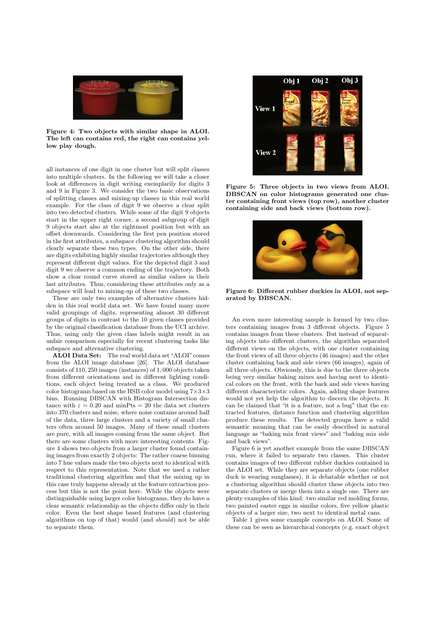

**Figure 4: Two objects with similar shape in ALOI. The left can contains red, the right can contains yellow play dough.**

all instances of one digit in one cluster but will split classes into multiple clusters. In the following we will take a closer look at differences in digit writing exemplarily for digits 3 and 9 in Figure 3. We consider the two basic observations of splitting classes and mixing-up classes in this real world example. For the class of digit 9 we observe a clear split into two detected clusters. While some of the digit 9 objects start in the upper right corner, a second subgroup of digit 9 objects start also at the rightmost position but with an offset downwards. Considering the first pen position stored in the first attributes, a subspace clustering algorithm should clearly separate these two types. On the other side, there are digits exhibiting highly similar trajectories although they represent different digit values. For the depicted digit 3 and digit 9 we observe a common ending of the trajectory. Both show a clear round curve stored as similar values in their last attributes. Thus, considering these attributes only as a subspace will lead to mixing-up of these two classes.

These are only two examples of alternative clusters hidden in this real world data set. We have found many more valid groupings of digits, representing almost 30 different groups of digits in contrast to the 10 given classes provided by the original classification database from the UCI archive. Thus, using only the given class labels might result in an unfair comparison especially for recent clustering tasks like subspace and alternative clustering.

**ALOI Data Set:** The real world data set "ALOI" comes from the ALOI image database [26]. The ALOI database consists of 110, 250 images (instances) of 1, 000 objects taken from different orientations and in different lighting conditions, each object being treated as a class. We produced color histograms based on the HSB color model using  $7\times3\times3$ bins. Running DBSCAN with Histogram Intersection distance with  $\varepsilon = 0.20$  and minPts = 20 the data set clusters into 370 clusters and noise, where noise contains around half of the data, three large clusters and a variety of small clusters often around 50 images. Many of these small clusters are pure, with all images coming from the same object. But there are some clusters with more interesting contents. Figure 4 shows two objects from a larger cluster found containing images from exactly 2 objects: The rather coarse binning into 7 hue values made the two objects next to identical with respect to this representation. Note that we used a rather traditional clustering algorithm and that the mixing up in this case truly happens already at the feature extraction process but this is not the point here. While the objects were distinguishable using larger color histograms, they do have a clear semantic relationship as the objects differ only in their color. Even the best shape based features (and clustering algorithms on top of that) would (and *should*) not be able to separate them.



**Figure 5: Three objects in two views from ALOI. DBSCAN on color histograms generated one cluster containing front views (top row), another cluster containing side and back views (bottom row).**



**Figure 6: Different rubber duckies in ALOI, not separated by DBSCAN.**

An even more interesting sample is formed by two clusters containing images from 3 different objects. Figure 5 contains images from these clusters. But instead of separating objects into different clusters, the algorithm separated different views on the objects, with one cluster containing the front views of all three objects (46 images) and the other cluster containing back and side views (66 images), again of all three objects. Obviously, this is due to the three objects being very similar baking mixes and having next to identical colors on the front, with the back and side views having different characteristic colors. Again, adding shape features would not yet help the algorithm to discern the objects. It can be claimed that "it is a feature, not a bug" that the extracted features, distance function and clustering algorithm produce these results. The detected groups have a valid semantic meaning that can be easily described in natural language as "baking mix front views" and "baking mix side and back views".

Figure 6 is yet another example from the same DBSCAN run, where it failed to separate two classes. This cluster contains images of two different rubber duckies contained in the ALOI set. While they are separate objects (one rubber duck is wearing sunglasses), it is debatable whether or not a clustering algorithm should cluster these objects into two separate clusters or merge them into a single one. There are plenty examples of this kind: two similar red molding forms, two painted easter eggs in similar colors, five yellow plastic objects of a larger size, two next to identical metal cans.

Table 1 gives some example concepts on ALOI. Some of these can be seen as hierarchical concepts (e.g. exact object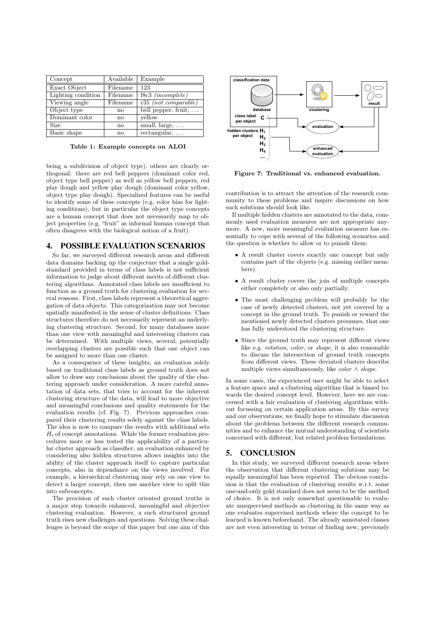| Concept            | Available | Example                      |
|--------------------|-----------|------------------------------|
| Exact Object       | Filename  | 123                          |
| Lighting condition | Filename  | $18c3$ ( <i>incomplete</i> ) |
| Viewing angle      | Filename  | $r35$ (not comparable)       |
| Object type        | no        | bell pepper, fruit, $\dots$  |
| Dominant color     | no        | vellow                       |
| Size               | no        | small, $large, \ldots$       |
| Basic shape        | nο        | $rectangular, \ldots$        |

**Table 1: Example concepts on ALOI**

being a subdivision of object type), others are clearly orthogonal: there are red bell peppers (dominant color red, object type bell pepper) as well as yellow bell peppers, red play dough and yellow play dough (dominant color yellow, object type play dough). Specialized features can be useful to identify some of these concepts (e.g. color bias for lighting conditions), but in particular the object type concepts are a human concept that does not necessarily map to object properties (e.g. "fruit" as informal human concept that often disagrees with the biological notion of a fruit).

## 4. POSSIBLE EVALUATION SCENARIOS

So far, we surveyed different research areas and different data domains backing up the conjecture that a single goldstandard provided in terms of class labels is not sufficient information to judge about different merits of different clustering algorithms. Annotated class labels are insufficient to function as a ground truth for clustering evaluation for several reasons. First, class labels represent a theoretical aggregation of data objects. This categorization may not become spatially manifested in the sense of cluster definitions. Class structures therefore do not necessarily represent an underlying clustering structure. Second, for many databases more than one view with meaningful and interesting clusters can be determined. With multiple views, several, potentially overlapping clusters are possible such that one object can be assigned to more than one cluster.

As a consequence of these insights, an evaluation solely based on traditional class labels as ground truth does not allow to draw any conclusions about the quality of the clustering approach under consideration. A more careful annotation of data sets, that tries to account for the inherent clustering structure of the data, will lead to more objective and meaningful conclusions and quality statements for the evaluation results (cf. Fig. 7). Previous approaches compared their clustering results solely against the class labels. The idea is now to compare the results with additional sets H*<sup>i</sup>* of concept annotations. While the former evaluation procedures more or less tested the applicability of a particular cluster approach as classifier, an evaluation enhanced by considering also hidden structures allows insights into the ability of the cluster approach itself to capture particular concepts, also in dependance on the views involved. For example, a hierarchical clustering may rely on one view to detect a larger concept, then use another view to split this into subconcepts.

The provision of such cluster oriented ground truths is a major step towards enhanced, meaningful and objective clustering evaluation. However, a such structured ground truth rises new challenges and questions. Solving these challenges is beyond the scope of this paper but one aim of this



**Figure 7: Traditional vs. enhanced evaluation.**

contribution is to attract the attention of the research community to these problems and inspire discussions on how such solutions should look like.

If multiple hidden clusters are annotated to the data, commonly used evaluation measures are not appropriate anymore. A new, more meaningful evaluation measure has essentially to cope with several of the following scenarios and the question is whether to allow or to punish them:

- A result cluster covers exactly one concept but only contains part of the objects (e.g. missing outlier members).
- A result cluster covers the join of multiple concepts either completely or also only partially.
- The most challenging problem will probably be the case of newly detected clusters, not yet covered by a concept in the ground truth. To punish or reward the mentioned newly detected clusters presumes, that one has fully understood the clustering structure.
- Since the ground truth may represent different views like e.g. *rotation*, *color*, or *shape*, it is also reasonable to discuss the intersection of ground truth concepts from different views. These deviated clusters describe multiple views simultaneously, like *color* ∧ *shape*.

In some cases, the experienced user might be able to select a feature space and a clustering algorithm that is biased towards the desired concept level. However, here we are concerned with a fair evaluation of clustering algorithms without focussing on certain application areas. By this survey and our observations, we finally hope to stimulate discussion about the problems between the different research communities and to enhance the mutual understanding of scientists concerned with different, but related problem formulations.

# 5. CONCLUSION

In this study, we surveyed different research areas where the observation that different clustering solutions may be equally meaningful has been reported. The obvious conclusion is that the evaluation of clustering results w.r.t. some one-and-only gold standard does not seem to be the method of choice. It is not only somewhat questionable to evaluate unsupervised methods as clustering in the same way as one evaluates supervised methods where the concept to be learned is known beforehand. The already annotated classes are not even interesting in terms of finding new, previously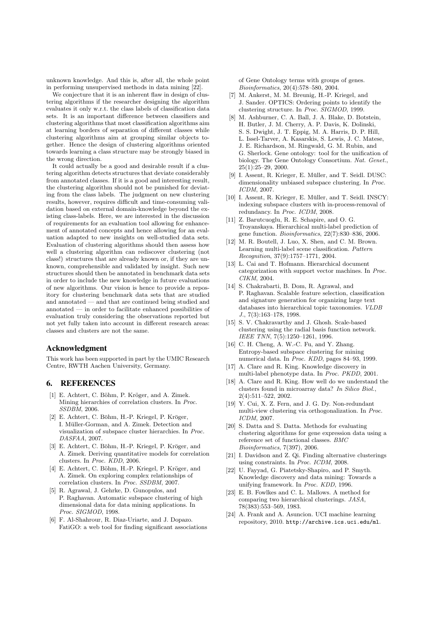unknown knowledge. And this is, after all, the whole point in performing unsupervised methods in data mining [22].

We conjecture that it is an inherent flaw in design of clustering algorithms if the researcher designing the algorithm evaluates it only w.r.t. the class labels of classification data sets. It is an important difference between classifiers and clustering algorithms that most classification algorithms aim at learning borders of separation of different classes while clustering algorithms aim at grouping similar objects together. Hence the design of clustering algorithms oriented towards learning a class structure may be strongly biased in the wrong direction.

It could actually be a good and desirable result if a clustering algorithm detects structures that deviate considerably from annotated classes. If it is a good and interesting result, the clustering algorithm should not be punished for deviating from the class labels. The judgment on new clustering results, however, requires difficult and time-consuming validation based on external domain-knowledge beyond the existing class-labels. Here, we are interested in the discussion of requirements for an evaluation tool allowing for enhancement of annotated concepts and hence allowing for an evaluation adapted to new insights on well-studied data sets. Evaluation of clustering algorithms should then assess how well a clustering algorithm can rediscover clustering (not class!) structures that are already known or, if they are unknown, comprehensible and validated by insight. Such new structures should then be annotated in benchmark data sets in order to include the new knowledge in future evaluations of new algorithms. Our vision is hence to provide a repository for clustering benchmark data sets that are studied and annotated — and that are continued being studied and annotated — in order to facilitate enhanced possibilities of evaluation truly considering the observations reported but not yet fully taken into account in different research areas: classes and clusters are not the same.

## Acknowledgment

This work has been supported in part by the UMIC Research Centre, RWTH Aachen University, Germany.

# 6. REFERENCES

- [1] E. Achtert, C. Böhm, P. Kröger, and A. Zimek. Mining hierarchies of correlation clusters. In *Proc. SSDBM*, 2006.
- [2] E. Achtert, C. Böhm, H.-P. Kriegel, P. Kröger, I. Müller-Gorman, and A. Zimek. Detection and visualization of subspace cluster hierarchies. In *Proc. DASFAA*, 2007.
- [3] E. Achtert, C. Böhm, H.-P. Kriegel, P. Kröger, and A. Zimek. Deriving quantitative models for correlation clusters. In *Proc. KDD*, 2006.
- [4] E. Achtert, C. Böhm, H.-P. Kriegel, P. Kröger, and A. Zimek. On exploring complex relationships of correlation clusters. In *Proc. SSDBM*, 2007.
- [5] R. Agrawal, J. Gehrke, D. Gunopulos, and P. Raghavan. Automatic subspace clustering of high dimensional data for data mining applications. In *Proc. SIGMOD*, 1998.
- [6] F. Al-Shahrour, R. Diaz-Uriarte, and J. Dopazo. FatiGO: a web tool for finding significant associations

of Gene Ontology terms with groups of genes. *Bioinformatics*, 20(4):578–580, 2004.

- [7] M. Ankerst, M. M. Breunig, H.-P. Kriegel, and J. Sander. OPTICS: Ordering points to identify the clustering structure. In *Proc. SIGMOD*, 1999.
- [8] M. Ashburner, C. A. Ball, J. A. Blake, D. Botstein, H. Butler, J. M. Cherry, A. P. Davis, K. Dolinski, S. S. Dwight, J. T. Eppig, M. A. Harris, D. P. Hill, L. Issel-Tarver, A. Kasarskis, S. Lewis, J. C. Matese, J. E. Richardson, M. Ringwald, G. M. Rubin, and G. Sherlock. Gene ontology: tool for the unification of biology. The Gene Ontology Consortium. *Nat. Genet.*,  $25(1):25-29, 2000.$
- [9] I. Assent, R. Krieger, E. Müller, and T. Seidl. DUSC: dimensionality unbiased subspace clustering. In *Proc. ICDM*, 2007.
- [10] I. Assent, R. Krieger, E. Müller, and T. Seidl. INSCY: indexing subspace clusters with in-process-removal of redundancy. In *Proc. ICDM*, 2008.
- [11] Z. Barutcuoglu, R. E. Schapire, and O. G. Troyanskaya. Hierarchical multi-label prediction of gene function. *Bioinformatics*, 22(7):830–836, 2006.
- [12] M. R. Boutell, J. Luo, X. Shen, and C. M. Brown. Learning multi-label scene classification. *Pattern Recognition*, 37(9):1757–1771, 2004.
- [13] L. Cai and T. Hofmann. Hierarchical document categorization with support vector machines. In *Proc. CIKM*, 2004.
- [14] S. Chakrabarti, B. Dom, R. Agrawal, and P. Raghavan. Scalable feature selection, classification and signature generation for organizing large text databases into hierarchical topic taxonomies. *VLDB J.*, 7(3):163–178, 1998.
- [15] S. V. Chakravarthy and J. Ghosh. Scale-based clustering using the radial basis function network. *IEEE TNN*, 7(5):1250–1261, 1996.
- [16] C. H. Cheng, A. W.-C. Fu, and Y. Zhang. Entropy-based subspace clustering for mining numerical data. In *Proc. KDD*, pages 84–93, 1999.
- [17] A. Clare and R. King. Knowledge discovery in multi-label phenotype data. In *Proc. PKDD*, 2001.
- [18] A. Clare and R. King. How well do we understand the clusters found in microarray data? *In Silico Biol.*, 2(4):511–522, 2002.
- [19] Y. Cui, X. Z. Fern, and J. G. Dy. Non-redundant multi-view clustering via orthogonalization. In *Proc. ICDM*, 2007.
- [20] S. Datta and S. Datta. Methods for evaluating clustering algorithms for gene expression data using a reference set of functional classes. *BMC Bioinformatics*, 7(397), 2006.
- [21] I. Davidson and Z. Qi. Finding alternative clusterings using constraints. In *Proc. ICDM*, 2008.
- [22] U. Fayyad, G. Piatetsky-Shapiro, and P. Smyth. Knowledge discovery and data mining: Towards a unifying framework. In *Proc. KDD*, 1996.
- [23] E. B. Fowlkes and C. L. Mallows. A method for comparing two hierarchical clusterings. *JASA*, 78(383):553–569, 1983.
- [24] A. Frank and A. Asuncion. UCI machine learning repository, 2010. http://archive.ics.uci.edu/ml.